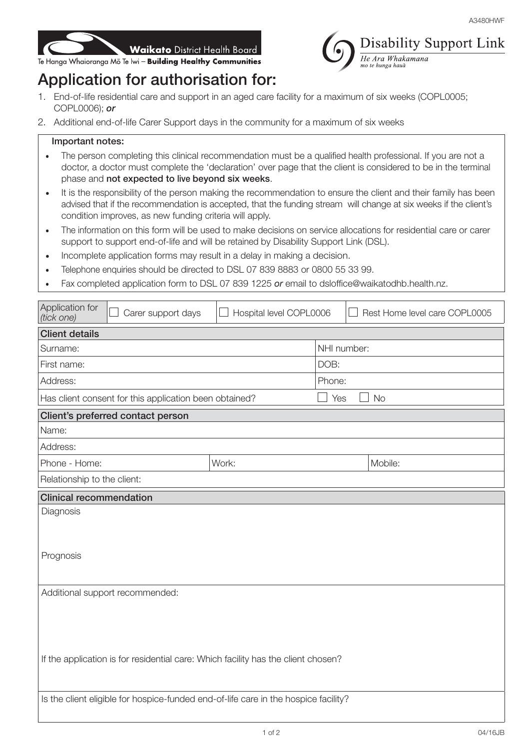



## Application for authorisation for:

- 1. End-of-life residential care and support in an aged care facility for a maximum of six weeks (COPL0005; COPL0006); *or*
- 2. Additional end-of-life Carer Support days in the community for a maximum of six weeks

## Important notes:

- The person completing this clinical recommendation must be a qualified health professional. If you are not a doctor, a doctor must complete the 'declaration' over page that the client is considered to be in the terminal phase and not expected to live beyond six weeks.
- It is the responsibility of the person making the recommendation to ensure the client and their family has been advised that if the recommendation is accepted, that the funding stream will change at six weeks if the client's condition improves, as new funding criteria will apply.
- The information on this form will be used to make decisions on service allocations for residential care or carer support to support end-of-life and will be retained by Disability Support Link (DSL).
- Incomplete application forms may result in a delay in making a decision.
- Telephone enquiries should be directed to DSL 07 839 8883 or 0800 55 33 99.
- Fax completed application form to DSL 07 839 1225 *or* email to dsloffice@waikatodhb.health.nz.

| Application for<br>(tick one)                                                       | Carer support days                | Hospital level COPL0006 |                  | Rest Home level care COPL0005 |  |
|-------------------------------------------------------------------------------------|-----------------------------------|-------------------------|------------------|-------------------------------|--|
| <b>Client details</b>                                                               |                                   |                         |                  |                               |  |
| Surname:                                                                            |                                   |                         | NHI number:      |                               |  |
| First name:                                                                         |                                   |                         | DOB:             |                               |  |
| Address:                                                                            |                                   |                         | Phone:           |                               |  |
| Has client consent for this application been obtained?                              |                                   |                         | <b>No</b><br>Yes |                               |  |
|                                                                                     | Client's preferred contact person |                         |                  |                               |  |
| Name:                                                                               |                                   |                         |                  |                               |  |
| Address:                                                                            |                                   |                         |                  |                               |  |
| Phone - Home:                                                                       |                                   | Work:                   |                  | Mobile:                       |  |
| Relationship to the client:                                                         |                                   |                         |                  |                               |  |
| <b>Clinical recommendation</b>                                                      |                                   |                         |                  |                               |  |
| Diagnosis                                                                           |                                   |                         |                  |                               |  |
|                                                                                     |                                   |                         |                  |                               |  |
|                                                                                     |                                   |                         |                  |                               |  |
| Prognosis                                                                           |                                   |                         |                  |                               |  |
|                                                                                     |                                   |                         |                  |                               |  |
| Additional support recommended:                                                     |                                   |                         |                  |                               |  |
|                                                                                     |                                   |                         |                  |                               |  |
|                                                                                     |                                   |                         |                  |                               |  |
|                                                                                     |                                   |                         |                  |                               |  |
| If the application is for residential care: Which facility has the client chosen?   |                                   |                         |                  |                               |  |
|                                                                                     |                                   |                         |                  |                               |  |
| Is the client eligible for hospice-funded end-of-life care in the hospice facility? |                                   |                         |                  |                               |  |